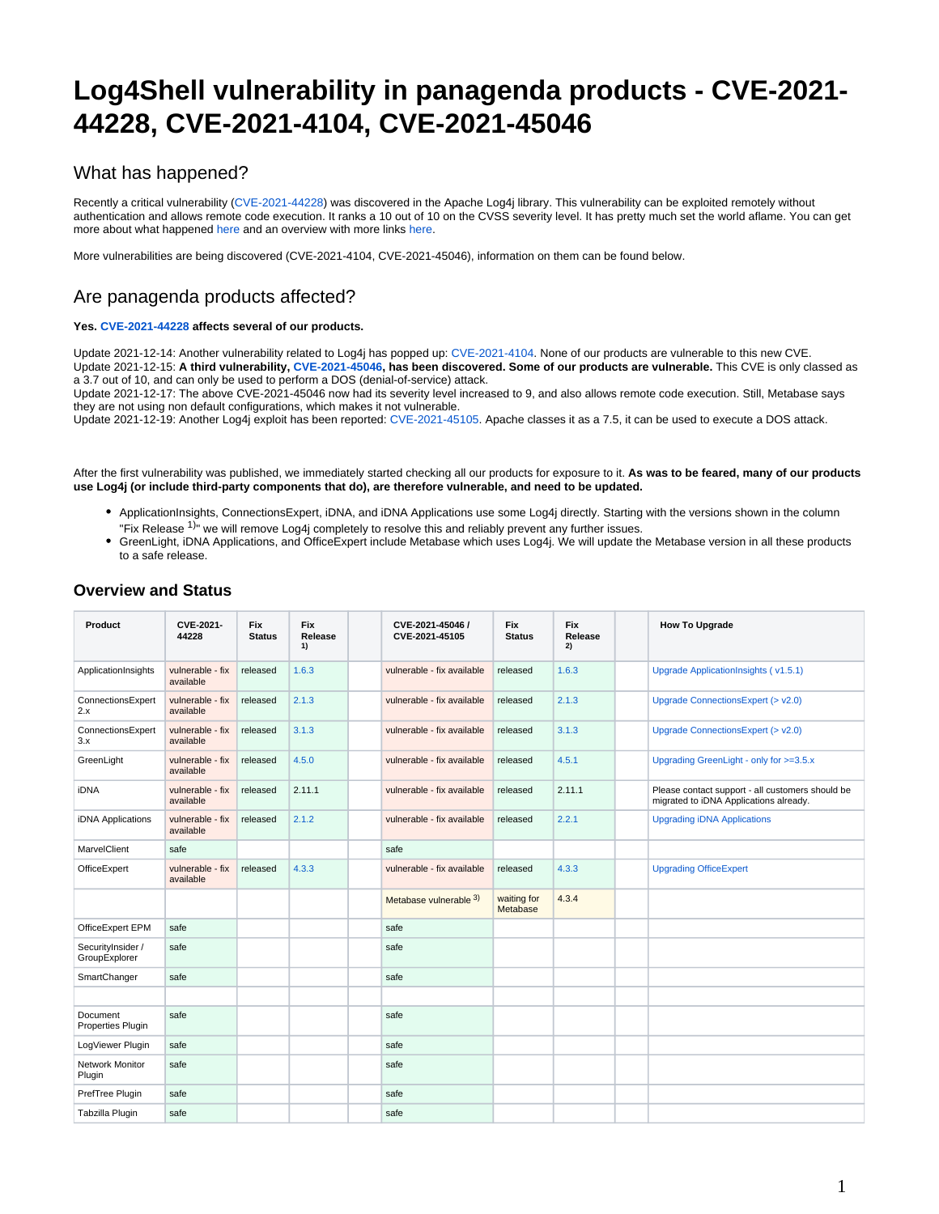# **Log4Shell vulnerability in panagenda products - CVE-2021- 44228, CVE-2021-4104, CVE-2021-45046**

### What has happened?

Recently a critical vulnerability [\(CVE-2021-44228](https://cve.mitre.org/cgi-bin/cvename.cgi?name=2021-44228)) was discovered in the Apache Log4j library. This vulnerability can be exploited remotely without authentication and allows remote code execution. It ranks a 10 out of 10 on the CVSS severity level. It has pretty much set the world aflame. You can get more about what happened [here](https://arstechnica.com/information-technology/2021/12/the-log4shell-zeroday-4-days-on-what-is-it-and-how-bad-is-it-really/) and an overview with more links [here.](https://en.wikipedia.org/wiki/Log4Shell)

More vulnerabilities are being discovered (CVE-2021-4104, CVE-2021-45046), information on them can be found below.

### Are panagenda products affected?

#### **Yes. [CVE-2021-44228](https://cve.mitre.org/cgi-bin/cvename.cgi?name=2021-44228) affects several of our products.**

Update 2021-12-14: Another vulnerability related to Log4j has popped up: [CVE-2021-4104](https://cve.mitre.org/cgi-bin/cvename.cgi?name=CVE-2021-4104). None of our products are vulnerable to this new CVE. Update 2021-12-15: **A third vulnerability, [CVE-2021-45046](https://cve.mitre.org/cgi-bin/cvename.cgi?name=CVE-2021-45046), has been discovered. Some of our products are vulnerable.** This CVE is only classed as a 3.7 out of 10, and can only be used to perform a DOS (denial-of-service) attack.

Update 2021-12-17: The above CVE-2021-45046 now had its severity level increased to 9, and also allows remote code execution. Still, Metabase says they are not using non default configurations, which makes it not vulnerable.

Update 2021-12-19: Another Log4j exploit has been reported: [CVE-2021-45105](https://cve.mitre.org/cgi-bin/cvename.cgi?name=CVE-2021-45105). Apache classes it as a 7.5, it can be used to execute a DOS attack.

After the first vulnerability was published, we immediately started checking all our products for exposure to it. **As was to be feared, many of our products use Log4j (or include third-party components that do), are therefore vulnerable, and need to be updated.**

- ApplicationInsights, ConnectionsExpert, iDNA, and iDNA Applications use some Log4j directly. Starting with the versions shown in the column "Fix Release  $1$ <sup>"</sup> we will remove Log4j completely to resolve this and reliably prevent any further issues.
- GreenLight, iDNA Applications, and OfficeExpert include Metabase which uses Log4j. We will update the Metabase version in all these products to a safe release.

| Product                            | CVE-2021-<br>44228            | <b>Fix</b><br><b>Status</b> | <b>Fix</b><br>Release<br>1) | CVE-2021-45046 /<br>CVE-2021-45105 | <b>Fix</b><br><b>Status</b> | <b>Fix</b><br>Release<br>2) | <b>How To Upgrade</b>                                                                      |
|------------------------------------|-------------------------------|-----------------------------|-----------------------------|------------------------------------|-----------------------------|-----------------------------|--------------------------------------------------------------------------------------------|
| ApplicationInsights                | vulnerable - fix<br>available | released                    | 1.6.3                       | vulnerable - fix available         | released                    | 1.6.3                       | Upgrade ApplicationInsights (v1.5.1)                                                       |
| ConnectionsExpert<br>2.x           | vulnerable - fix<br>available | released                    | 2.1.3                       | vulnerable - fix available         | released                    | 2.1.3                       | Upgrade ConnectionsExpert (> v2.0)                                                         |
| ConnectionsExpert<br>3.x           | vulnerable - fix<br>available | released                    | 3.1.3                       | vulnerable - fix available         | released                    | 3.1.3                       | Upgrade ConnectionsExpert (> v2.0)                                                         |
| GreenLight                         | vulnerable - fix<br>available | released                    | 4.5.0                       | vulnerable - fix available         | released                    | 4.5.1                       | Upgrading GreenLight - only for >=3.5.x                                                    |
| iDNA                               | vulnerable - fix<br>available | released                    | 2.11.1                      | vulnerable - fix available         | released                    | 2.11.1                      | Please contact support - all customers should be<br>migrated to iDNA Applications already. |
| iDNA Applications                  | vulnerable - fix<br>available | released                    | 2.1.2                       | vulnerable - fix available         | released                    | 2.2.1                       | <b>Upgrading iDNA Applications</b>                                                         |
| MarvelClient                       | safe                          |                             |                             | safe                               |                             |                             |                                                                                            |
| OfficeExpert                       | vulnerable - fix<br>available | released                    | 4.3.3                       | vulnerable - fix available         | released                    | 4.3.3                       | <b>Upgrading OfficeExpert</b>                                                              |
|                                    |                               |                             |                             | Metabase vulnerable 3)             | waiting for<br>Metabase     | 4.3.4                       |                                                                                            |
| OfficeExpert EPM                   | safe                          |                             |                             | safe                               |                             |                             |                                                                                            |
| SecurityInsider /<br>GroupExplorer | safe                          |                             |                             | safe                               |                             |                             |                                                                                            |
| SmartChanger                       | safe                          |                             |                             | safe                               |                             |                             |                                                                                            |
|                                    |                               |                             |                             |                                    |                             |                             |                                                                                            |
| Document<br>Properties Plugin      | safe                          |                             |                             | safe                               |                             |                             |                                                                                            |
| LogViewer Plugin                   | safe                          |                             |                             | safe                               |                             |                             |                                                                                            |
| Network Monitor<br>Plugin          | safe                          |                             |                             | safe                               |                             |                             |                                                                                            |
| PrefTree Plugin                    | safe                          |                             |                             | safe                               |                             |                             |                                                                                            |
| Tabzilla Plugin                    | safe                          |                             |                             | safe                               |                             |                             |                                                                                            |

#### **Overview and Status**